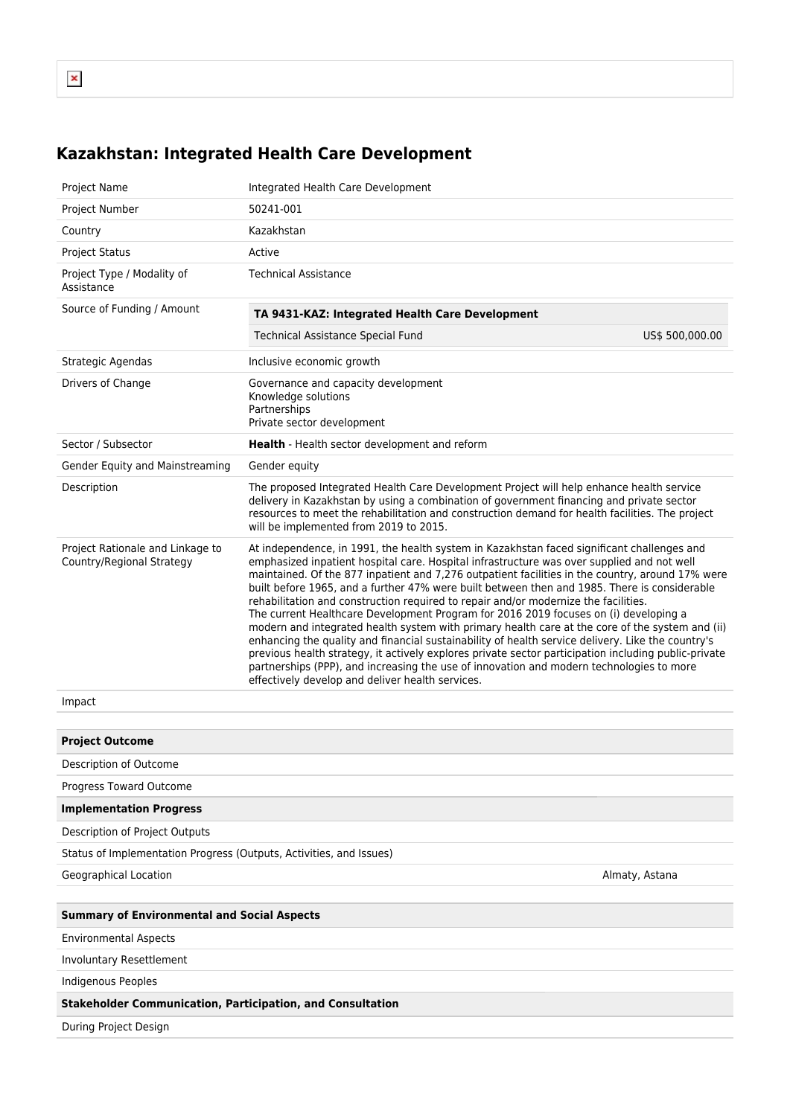## **Kazakhstan: Integrated Health Care Development**

| Project Name                                                        | Integrated Health Care Development                                                                                                                                                                                                                                                                                                                                                                                                                                                                                                                                                                                                                                                                                                                                                                                                                                                                                                                                                                                                          |                |  |  |  |
|---------------------------------------------------------------------|---------------------------------------------------------------------------------------------------------------------------------------------------------------------------------------------------------------------------------------------------------------------------------------------------------------------------------------------------------------------------------------------------------------------------------------------------------------------------------------------------------------------------------------------------------------------------------------------------------------------------------------------------------------------------------------------------------------------------------------------------------------------------------------------------------------------------------------------------------------------------------------------------------------------------------------------------------------------------------------------------------------------------------------------|----------------|--|--|--|
| Project Number                                                      | 50241-001                                                                                                                                                                                                                                                                                                                                                                                                                                                                                                                                                                                                                                                                                                                                                                                                                                                                                                                                                                                                                                   |                |  |  |  |
| Country                                                             | Kazakhstan                                                                                                                                                                                                                                                                                                                                                                                                                                                                                                                                                                                                                                                                                                                                                                                                                                                                                                                                                                                                                                  |                |  |  |  |
| <b>Project Status</b>                                               | Active                                                                                                                                                                                                                                                                                                                                                                                                                                                                                                                                                                                                                                                                                                                                                                                                                                                                                                                                                                                                                                      |                |  |  |  |
| Project Type / Modality of<br>Assistance                            | <b>Technical Assistance</b>                                                                                                                                                                                                                                                                                                                                                                                                                                                                                                                                                                                                                                                                                                                                                                                                                                                                                                                                                                                                                 |                |  |  |  |
| Source of Funding / Amount                                          | TA 9431-KAZ: Integrated Health Care Development                                                                                                                                                                                                                                                                                                                                                                                                                                                                                                                                                                                                                                                                                                                                                                                                                                                                                                                                                                                             |                |  |  |  |
|                                                                     | Technical Assistance Special Fund<br>US\$ 500,000.00                                                                                                                                                                                                                                                                                                                                                                                                                                                                                                                                                                                                                                                                                                                                                                                                                                                                                                                                                                                        |                |  |  |  |
| Strategic Agendas                                                   | Inclusive economic growth                                                                                                                                                                                                                                                                                                                                                                                                                                                                                                                                                                                                                                                                                                                                                                                                                                                                                                                                                                                                                   |                |  |  |  |
| Drivers of Change                                                   | Governance and capacity development<br>Knowledge solutions<br>Partnerships<br>Private sector development                                                                                                                                                                                                                                                                                                                                                                                                                                                                                                                                                                                                                                                                                                                                                                                                                                                                                                                                    |                |  |  |  |
| Sector / Subsector                                                  | Health - Health sector development and reform                                                                                                                                                                                                                                                                                                                                                                                                                                                                                                                                                                                                                                                                                                                                                                                                                                                                                                                                                                                               |                |  |  |  |
| Gender Equity and Mainstreaming                                     | Gender equity                                                                                                                                                                                                                                                                                                                                                                                                                                                                                                                                                                                                                                                                                                                                                                                                                                                                                                                                                                                                                               |                |  |  |  |
| Description                                                         | The proposed Integrated Health Care Development Project will help enhance health service<br>delivery in Kazakhstan by using a combination of government financing and private sector<br>resources to meet the rehabilitation and construction demand for health facilities. The project<br>will be implemented from 2019 to 2015.                                                                                                                                                                                                                                                                                                                                                                                                                                                                                                                                                                                                                                                                                                           |                |  |  |  |
| Project Rationale and Linkage to<br>Country/Regional Strategy       | At independence, in 1991, the health system in Kazakhstan faced significant challenges and<br>emphasized inpatient hospital care. Hospital infrastructure was over supplied and not well<br>maintained. Of the 877 inpatient and 7,276 outpatient facilities in the country, around 17% were<br>built before 1965, and a further 47% were built between then and 1985. There is considerable<br>rehabilitation and construction required to repair and/or modernize the facilities.<br>The current Healthcare Development Program for 2016 2019 focuses on (i) developing a<br>modern and integrated health system with primary health care at the core of the system and (ii)<br>enhancing the quality and financial sustainability of health service delivery. Like the country's<br>previous health strategy, it actively explores private sector participation including public-private<br>partnerships (PPP), and increasing the use of innovation and modern technologies to more<br>effectively develop and deliver health services. |                |  |  |  |
| Impact                                                              |                                                                                                                                                                                                                                                                                                                                                                                                                                                                                                                                                                                                                                                                                                                                                                                                                                                                                                                                                                                                                                             |                |  |  |  |
|                                                                     |                                                                                                                                                                                                                                                                                                                                                                                                                                                                                                                                                                                                                                                                                                                                                                                                                                                                                                                                                                                                                                             |                |  |  |  |
| <b>Project Outcome</b>                                              |                                                                                                                                                                                                                                                                                                                                                                                                                                                                                                                                                                                                                                                                                                                                                                                                                                                                                                                                                                                                                                             |                |  |  |  |
| Description of Outcome                                              |                                                                                                                                                                                                                                                                                                                                                                                                                                                                                                                                                                                                                                                                                                                                                                                                                                                                                                                                                                                                                                             |                |  |  |  |
| Progress Toward Outcome                                             |                                                                                                                                                                                                                                                                                                                                                                                                                                                                                                                                                                                                                                                                                                                                                                                                                                                                                                                                                                                                                                             |                |  |  |  |
| <b>Implementation Progress</b>                                      |                                                                                                                                                                                                                                                                                                                                                                                                                                                                                                                                                                                                                                                                                                                                                                                                                                                                                                                                                                                                                                             |                |  |  |  |
| Description of Project Outputs                                      |                                                                                                                                                                                                                                                                                                                                                                                                                                                                                                                                                                                                                                                                                                                                                                                                                                                                                                                                                                                                                                             |                |  |  |  |
| Status of Implementation Progress (Outputs, Activities, and Issues) |                                                                                                                                                                                                                                                                                                                                                                                                                                                                                                                                                                                                                                                                                                                                                                                                                                                                                                                                                                                                                                             |                |  |  |  |
| Geographical Location                                               |                                                                                                                                                                                                                                                                                                                                                                                                                                                                                                                                                                                                                                                                                                                                                                                                                                                                                                                                                                                                                                             | Almaty, Astana |  |  |  |
|                                                                     |                                                                                                                                                                                                                                                                                                                                                                                                                                                                                                                                                                                                                                                                                                                                                                                                                                                                                                                                                                                                                                             |                |  |  |  |
| <b>Summary of Environmental and Social Aspects</b>                  |                                                                                                                                                                                                                                                                                                                                                                                                                                                                                                                                                                                                                                                                                                                                                                                                                                                                                                                                                                                                                                             |                |  |  |  |
| <b>Environmental Aspects</b>                                        |                                                                                                                                                                                                                                                                                                                                                                                                                                                                                                                                                                                                                                                                                                                                                                                                                                                                                                                                                                                                                                             |                |  |  |  |
| Involuntary Resettlement                                            |                                                                                                                                                                                                                                                                                                                                                                                                                                                                                                                                                                                                                                                                                                                                                                                                                                                                                                                                                                                                                                             |                |  |  |  |
| Indigenous Peoples                                                  |                                                                                                                                                                                                                                                                                                                                                                                                                                                                                                                                                                                                                                                                                                                                                                                                                                                                                                                                                                                                                                             |                |  |  |  |
| <b>Stakeholder Communication, Participation, and Consultation</b>   |                                                                                                                                                                                                                                                                                                                                                                                                                                                                                                                                                                                                                                                                                                                                                                                                                                                                                                                                                                                                                                             |                |  |  |  |
| During Project Design                                               |                                                                                                                                                                                                                                                                                                                                                                                                                                                                                                                                                                                                                                                                                                                                                                                                                                                                                                                                                                                                                                             |                |  |  |  |